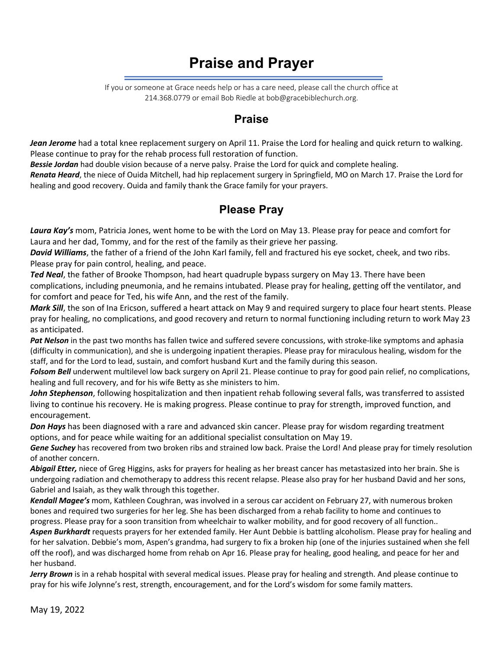# **Praise and Prayer**

If you or someone at Grace needs help or has a care need, please call the church office at 214.368.0779 or email Bob Riedle at bob@gracebiblechurch.org.

#### **Praise**

*Jean Jerome* had a total knee replacement surgery on April 11. Praise the Lord for healing and quick return to walking. Please continue to pray for the rehab process full restoration of function.

*Bessie Jordan* had double vision because of a nerve palsy. Praise the Lord for quick and complete healing.

*Renata Heard*, the niece of Ouida Mitchell, had hip replacement surgery in Springfield, MO on March 17. Praise the Lord for healing and good recovery. Ouida and family thank the Grace family for your prayers.

### **Please Pray**

*Laura Kay's* mom, Patricia Jones, went home to be with the Lord on May 13. Please pray for peace and comfort for Laura and her dad, Tommy, and for the rest of the family as their grieve her passing.

*David Williams*, the father of a friend of the John Karl family, fell and fractured his eye socket, cheek, and two ribs. Please pray for pain control, healing, and peace.

*Ted Neal*, the father of Brooke Thompson, had heart quadruple bypass surgery on May 13. There have been complications, including pneumonia, and he remains intubated. Please pray for healing, getting off the ventilator, and for comfort and peace for Ted, his wife Ann, and the rest of the family.

*Mark Sill*, the son of Ina Ericson, suffered a heart attack on May 9 and required surgery to place four heart stents. Please pray for healing, no complications, and good recovery and return to normal functioning including return to work May 23 as anticipated.

*Pat Nelson* in the past two months has fallen twice and suffered severe concussions, with stroke-like symptoms and aphasia (difficulty in communication), and she is undergoing inpatient therapies. Please pray for miraculous healing, wisdom for the staff, and for the Lord to lead, sustain, and comfort husband Kurt and the family during this season.

*Folsom Bell* underwent multilevel low back surgery on April 21. Please continue to pray for good pain relief, no complications, healing and full recovery, and for his wife Betty as she ministers to him.

*John Stephenson*, following hospitalization and then inpatient rehab following several falls, was transferred to assisted living to continue his recovery. He is making progress. Please continue to pray for strength, improved function, and encouragement.

*Don Hays* has been diagnosed with a rare and advanced skin cancer. Please pray for wisdom regarding treatment options, and for peace while waiting for an additional specialist consultation on May 19.

*Gene Suchey* has recovered from two broken ribs and strained low back. Praise the Lord! And please pray for timely resolution of another concern.

*Abigail Etter,* niece of Greg Higgins, asks for prayers for healing as her breast cancer has metastasized into her brain. She is undergoing radiation and chemotherapy to address this recent relapse. Please also pray for her husband David and her sons, Gabriel and Isaiah, as they walk through this together.

*Kendall Magee's* mom, Kathleen Coughran, was involved in a serous car accident on February 27, with numerous broken bones and required two surgeries for her leg. She has been discharged from a rehab facility to home and continues to progress. Please pray for a soon transition from wheelchair to walker mobility, and for good recovery of all function..

*Aspen Burkhardt* requests prayers for her extended family. Her Aunt Debbie is battling alcoholism. Please pray for healing and for her salvation. Debbie's mom, Aspen's grandma, had surgery to fix a broken hip (one of the injuries sustained when she fell off the roof), and was discharged home from rehab on Apr 16. Please pray for healing, good healing, and peace for her and her husband.

*Jerry Brown* is in a rehab hospital with several medical issues. Please pray for healing and strength. And please continue to pray for his wife Jolynne's rest, strength, encouragement, and for the Lord's wisdom for some family matters.